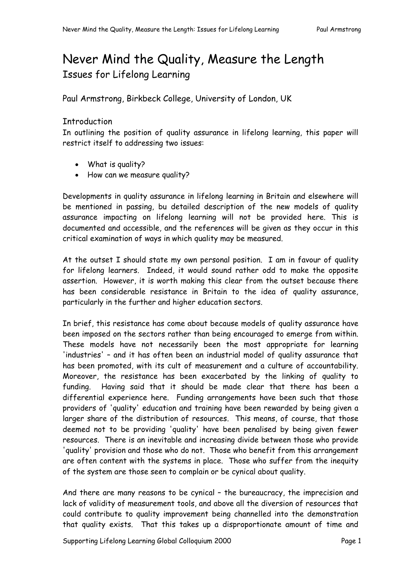# Never Mind the Quality, Measure the Length Issues for Lifelong Learning

Paul Armstrong, Birkbeck College, University of London, UK

# **Introduction**

In outlining the position of quality assurance in lifelong learning, this paper will restrict itself to addressing two issues:

- What is quality?
- How can we measure quality?

Developments in quality assurance in lifelong learning in Britain and elsewhere will be mentioned in passing, bu detailed description of the new models of quality assurance impacting on lifelong learning will not be provided here. This is documented and accessible, and the references will be given as they occur in this critical examination of ways in which quality may be measured.

At the outset I should state my own personal position. I am in favour of quality for lifelong learners. Indeed, it would sound rather odd to make the opposite assertion. However, it is worth making this clear from the outset because there has been considerable resistance in Britain to the idea of quality assurance, particularly in the further and higher education sectors.

In brief, this resistance has come about because models of quality assurance have been imposed on the sectors rather than being encouraged to emerge from within. These models have not necessarily been the most appropriate for learning 'industries' – and it has often been an industrial model of quality assurance that has been promoted, with its cult of measurement and a culture of accountability. Moreover, the resistance has been exacerbated by the linking of quality to funding. Having said that it should be made clear that there has been a differential experience here. Funding arrangements have been such that those providers of 'quality' education and training have been rewarded by being given a larger share of the distribution of resources. This means, of course, that those deemed not to be providing 'quality' have been penalised by being given fewer resources. There is an inevitable and increasing divide between those who provide 'quality' provision and those who do not. Those who benefit from this arrangement are often content with the systems in place. Those who suffer from the inequity of the system are those seen to complain or be cynical about quality.

And there are many reasons to be cynical – the bureaucracy, the imprecision and lack of validity of measurement tools, and above all the diversion of resources that could contribute to quality improvement being channelled into the demonstration that quality exists. That this takes up a disproportionate amount of time and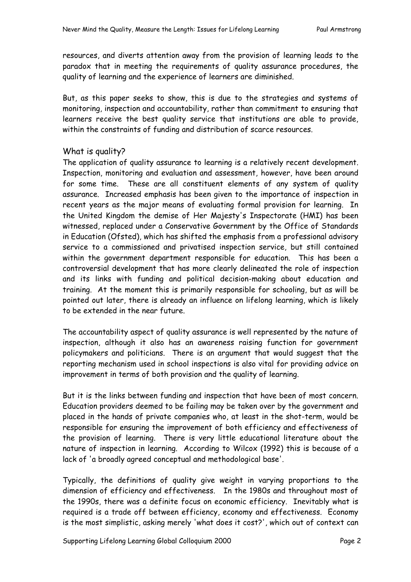resources, and diverts attention away from the provision of learning leads to the paradox that in meeting the requirements of quality assurance procedures, the quality of learning and the experience of learners are diminished.

But, as this paper seeks to show, this is due to the strategies and systems of monitoring, inspection and accountability, rather than commitment to ensuring that learners receive the best quality service that institutions are able to provide, within the constraints of funding and distribution of scarce resources.

# What is quality?

The application of quality assurance to learning is a relatively recent development. Inspection, monitoring and evaluation and assessment, however, have been around for some time. These are all constituent elements of any system of quality assurance. Increased emphasis has been given to the importance of inspection in recent years as the major means of evaluating formal provision for learning. In the United Kingdom the demise of Her Majesty's Inspectorate (HMI) has been witnessed, replaced under a Conservative Government by the Office of Standards in Education (Ofsted), which has shifted the emphasis from a professional advisory service to a commissioned and privatised inspection service, but still contained within the government department responsible for education. This has been a controversial development that has more clearly delineated the role of inspection and its links with funding and political decision-making about education and training. At the moment this is primarily responsible for schooling, but as will be pointed out later, there is already an influence on lifelong learning, which is likely to be extended in the near future.

The accountability aspect of quality assurance is well represented by the nature of inspection, although it also has an awareness raising function for government policymakers and politicians. There is an argument that would suggest that the reporting mechanism used in school inspections is also vital for providing advice on improvement in terms of both provision and the quality of learning.

But it is the links between funding and inspection that have been of most concern. Education providers deemed to be failing may be taken over by the government and placed in the hands of private companies who, at least in the shot-term, would be responsible for ensuring the improvement of both efficiency and effectiveness of the provision of learning. There is very little educational literature about the nature of inspection in learning. According to Wilcox (1992) this is because of a lack of 'a broadly agreed conceptual and methodological base'.

Typically, the definitions of quality give weight in varying proportions to the dimension of efficiency and effectiveness. In the 1980s and throughout most of the 1990s, there was a definite focus on economic efficiency. Inevitably what is required is a trade off between efficiency, economy and effectiveness. Economy is the most simplistic, asking merely 'what does it cost?', which out of context can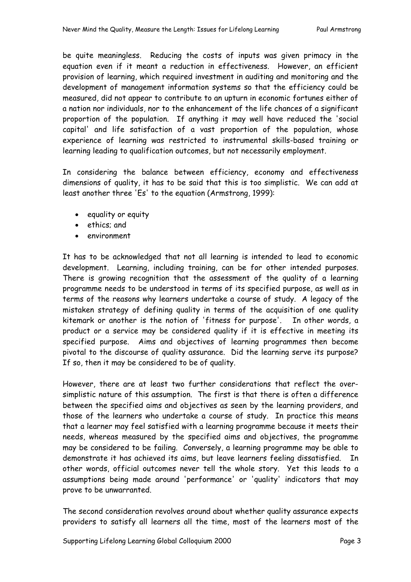be quite meaningless. Reducing the costs of inputs was given primacy in the equation even if it meant a reduction in effectiveness. However, an efficient provision of learning, which required investment in auditing and monitoring and the development of management information systems so that the efficiency could be measured, did not appear to contribute to an upturn in economic fortunes either of a nation nor individuals, nor to the enhancement of the life chances of a significant proportion of the population. If anything it may well have reduced the 'social capital' and life satisfaction of a vast proportion of the population, whose experience of learning was restricted to instrumental skills-based training or learning leading to qualification outcomes, but not necessarily employment.

In considering the balance between efficiency, economy and effectiveness dimensions of quality, it has to be said that this is too simplistic. We can add at least another three 'Es' to the equation (Armstrong, 1999):

- equality or equity
- ethics; and
- environment

It has to be acknowledged that not all learning is intended to lead to economic development. Learning, including training, can be for other intended purposes. There is growing recognition that the assessment of the quality of a learning programme needs to be understood in terms of its specified purpose, as well as in terms of the reasons why learners undertake a course of study. A legacy of the mistaken strategy of defining quality in terms of the acquisition of one quality kitemark or another is the notion of 'fitness for purpose'. In other words, a product or a service may be considered quality if it is effective in meeting its specified purpose. Aims and objectives of learning programmes then become pivotal to the discourse of quality assurance. Did the learning serve its purpose? If so, then it may be considered to be of quality.

However, there are at least two further considerations that reflect the oversimplistic nature of this assumption. The first is that there is often a difference between the specified aims and objectives as seen by the learning providers, and those of the learners who undertake a course of study. In practice this means that a learner may feel satisfied with a learning programme because it meets their needs, whereas measured by the specified aims and objectives, the programme may be considered to be failing. Conversely, a learning programme may be able to demonstrate it has achieved its aims, but leave learners feeling dissatisfied. In other words, official outcomes never tell the whole story. Yet this leads to a assumptions being made around 'performance' or 'quality' indicators that may prove to be unwarranted.

The second consideration revolves around about whether quality assurance expects providers to satisfy all learners all the time, most of the learners most of the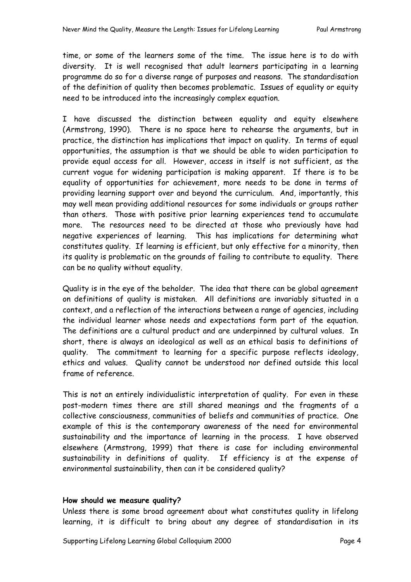time, or some of the learners some of the time. The issue here is to do with diversity. It is well recognised that adult learners participating in a learning programme do so for a diverse range of purposes and reasons. The standardisation of the definition of quality then becomes problematic. Issues of equality or equity need to be introduced into the increasingly complex equation.

I have discussed the distinction between equality and equity elsewhere (Armstrong, 1990). There is no space here to rehearse the arguments, but in practice, the distinction has implications that impact on quality. In terms of equal opportunities, the assumption is that we should be able to widen participation to provide equal access for all. However, access in itself is not sufficient, as the current vogue for widening participation is making apparent. If there is to be equality of opportunities for achievement, more needs to be done in terms of providing learning support over and beyond the curriculum. And, importantly, this may well mean providing additional resources for some individuals or groups rather than others. Those with positive prior learning experiences tend to accumulate more. The resources need to be directed at those who previously have had negative experiences of learning. This has implications for determining what constitutes quality. If learning is efficient, but only effective for a minority, then its quality is problematic on the grounds of failing to contribute to equality. There can be no quality without equality.

Quality is in the eye of the beholder. The idea that there can be global agreement on definitions of quality is mistaken. All definitions are invariably situated in a context, and a reflection of the interactions between a range of agencies, including the individual learner whose needs and expectations form part of the equation. The definitions are a cultural product and are underpinned by cultural values. In short, there is always an ideological as well as an ethical basis to definitions of quality. The commitment to learning for a specific purpose reflects ideology, ethics and values. Quality cannot be understood nor defined outside this local frame of reference.

This is not an entirely individualistic interpretation of quality. For even in these post-modern times there are still shared meanings and the fragments of a collective consciousness, communities of beliefs and communities of practice. One example of this is the contemporary awareness of the need for environmental sustainability and the importance of learning in the process. I have observed elsewhere (Armstrong, 1999) that there is case for including environmental sustainability in definitions of quality. If efficiency is at the expense of environmental sustainability, then can it be considered quality?

#### **How should we measure quality?**

Unless there is some broad agreement about what constitutes quality in lifelong learning, it is difficult to bring about any degree of standardisation in its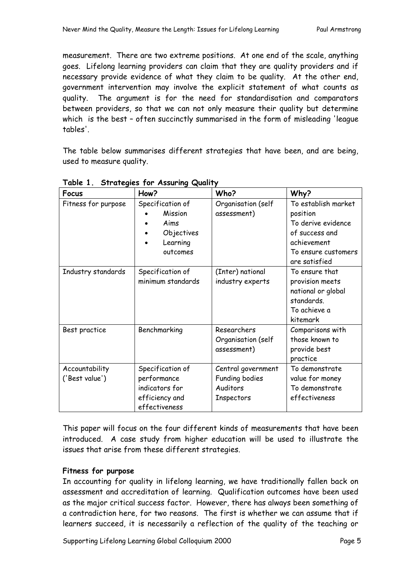measurement. There are two extreme positions. At one end of the scale, anything goes. Lifelong learning providers can claim that they are quality providers and if necessary provide evidence of what they claim to be quality. At the other end, government intervention may involve the explicit statement of what counts as quality. The argument is for the need for standardisation and comparators between providers, so that we can not only measure their quality but determine which is the best – often succinctly summarised in the form of misleading 'league tables'.

The table below summarises different strategies that have been, and are being, used to measure quality.

| <b>Focus</b>        | How?              | Who?               | Why?                |
|---------------------|-------------------|--------------------|---------------------|
| Fitness for purpose | Specification of  | Organisation (self | To establish market |
|                     | Mission           | assessment)        | position            |
|                     | Aims              |                    | To derive evidence  |
|                     | Objectives        |                    | of success and      |
|                     | Learning          |                    | achievement         |
|                     | outcomes          |                    | To ensure customers |
|                     |                   |                    | are satisfied       |
| Industry standards  | Specification of  | (Inter) national   | To ensure that      |
|                     | minimum standards | industry experts   | provision meets     |
|                     |                   |                    | national or global  |
|                     |                   |                    | standards.          |
|                     |                   |                    | To achieve a        |
|                     |                   |                    | kitemark            |
| Best practice       | Benchmarking      | Researchers        | Comparisons with    |
|                     |                   | Organisation (self | those known to      |
|                     |                   | assessment)        | provide best        |
|                     |                   |                    | practice            |
| Accountability      | Specification of  | Central government | To demonstrate      |
| ('Best value')      | performance       | Funding bodies     | value for money     |
|                     | indicators for    | Auditors           | To demonstrate      |
|                     | efficiency and    | Inspectors         | effectiveness       |
|                     | effectiveness     |                    |                     |

**Table 1. Strategies for Assuring Quality** 

This paper will focus on the four different kinds of measurements that have been introduced. A case study from higher education will be used to illustrate the issues that arise from these different strategies.

## **Fitness for purpose**

In accounting for quality in lifelong learning, we have traditionally fallen back on assessment and accreditation of learning. Qualification outcomes have been used as the major critical success factor. However, there has always been something of a contradiction here, for two reasons. The first is whether we can assume that if learners succeed, it is necessarily a reflection of the quality of the teaching or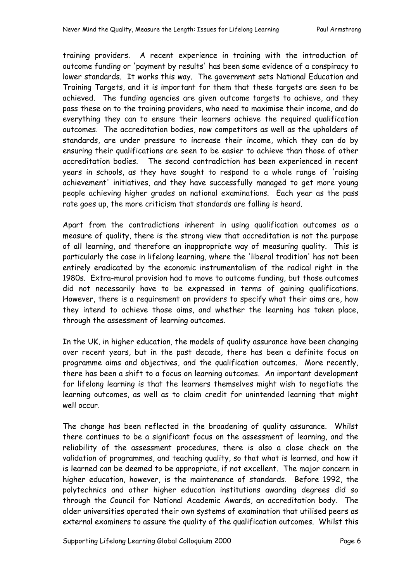training providers. A recent experience in training with the introduction of outcome funding or 'payment by results' has been some evidence of a conspiracy to lower standards. It works this way. The government sets National Education and Training Targets, and it is important for them that these targets are seen to be achieved. The funding agencies are given outcome targets to achieve, and they pass these on to the training providers, who need to maximise their income, and do everything they can to ensure their learners achieve the required qualification outcomes. The accreditation bodies, now competitors as well as the upholders of standards, are under pressure to increase their income, which they can do by ensuring their qualifications are seen to be easier to achieve than those of other accreditation bodies. The second contradiction has been experienced in recent years in schools, as they have sought to respond to a whole range of 'raising achievement' initiatives, and they have successfully managed to get more young people achieving higher grades on national examinations. Each year as the pass rate goes up, the more criticism that standards are falling is heard.

Apart from the contradictions inherent in using qualification outcomes as a measure of quality, there is the strong view that accreditation is not the purpose of all learning, and therefore an inappropriate way of measuring quality. This is particularly the case in lifelong learning, where the 'liberal tradition' has not been entirely eradicated by the economic instrumentalism of the radical right in the 1980s. Extra-mural provision had to move to outcome funding, but those outcomes did not necessarily have to be expressed in terms of gaining qualifications. However, there is a requirement on providers to specify what their aims are, how they intend to achieve those aims, and whether the learning has taken place, through the assessment of learning outcomes.

In the UK, in higher education, the models of quality assurance have been changing over recent years, but in the past decade, there has been a definite focus on programme aims and objectives, and the qualification outcomes. More recently, there has been a shift to a focus on learning outcomes. An important development for lifelong learning is that the learners themselves might wish to negotiate the learning outcomes, as well as to claim credit for unintended learning that might well occur.

The change has been reflected in the broadening of quality assurance. Whilst there continues to be a significant focus on the assessment of learning, and the reliability of the assessment procedures, there is also a close check on the validation of programmes, and teaching quality, so that what is learned, and how it is learned can be deemed to be appropriate, if not excellent. The major concern in higher education, however, is the maintenance of standards. Before 1992, the polytechnics and other higher education institutions awarding degrees did so through the Council for National Academic Awards, an accreditation body. The older universities operated their own systems of examination that utilised peers as external examiners to assure the quality of the qualification outcomes. Whilst this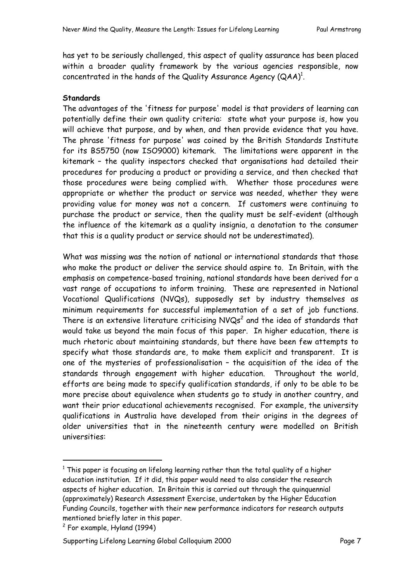has yet to be seriously challenged, this aspect of quality assurance has been placed within a broader quality framework by the various agencies responsible, now concentrated in the hands of the Quality Assurance Agency  $(QAA)^1$ .

#### **Standards**

The advantages of the 'fitness for purpose' model is that providers of learning can potentially define their own quality criteria: state what your purpose is, how you will achieve that purpose, and by when, and then provide evidence that you have. The phrase 'fitness for purpose' was coined by the British Standards Institute for its BS5750 (now ISO9000) kitemark. The limitations were apparent in the kitemark – the quality inspectors checked that organisations had detailed their procedures for producing a product or providing a service, and then checked that those procedures were being complied with. Whether those procedures were appropriate or whether the product or service was needed, whether they were providing value for money was not a concern. If customers were continuing to purchase the product or service, then the quality must be self-evident (although the influence of the kitemark as a quality insignia, a denotation to the consumer that this is a quality product or service should not be underestimated).

What was missing was the notion of national or international standards that those who make the product or deliver the service should aspire to. In Britain, with the emphasis on competence-based training, national standards have been derived for a vast range of occupations to inform training. These are represented in National Vocational Qualifications (NVQs), supposedly set by industry themselves as minimum requirements for successful implementation of a set of job functions. There is an extensive literature criticising  $NVQs<sup>2</sup>$  and the idea of standards that would take us beyond the main focus of this paper. In higher education, there is much rhetoric about maintaining standards, but there have been few attempts to specify what those standards are, to make them explicit and transparent. It is one of the mysteries of professionalisation – the acquisition of the idea of the standards through engagement with higher education. Throughout the world, efforts are being made to specify qualification standards, if only to be able to be more precise about equivalence when students go to study in another country, and want their prior educational achievements recognised. For example, the university qualifications in Australia have developed from their origins in the degrees of older universities that in the nineteenth century were modelled on British universities:

 $\overline{1}$  $1$  This paper is focusing on lifelong learning rather than the total quality of a higher education institution. If it did, this paper would need to also consider the research aspects of higher education. In Britain this is carried out through the quinquennial (approximately) Research Assessment Exercise, undertaken by the Higher Education Funding Councils, together with their new performance indicators for research outputs mentioned briefly later in this paper.

 $2$  For example, Hyland (1994)

Supporting Lifelong Learning Global Colloquium 2000 Page 7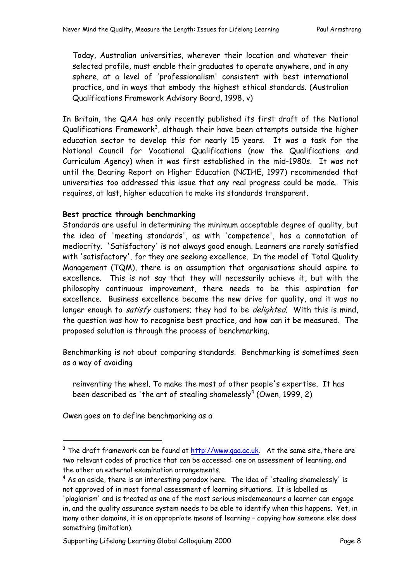Today, Australian universities, wherever their location and whatever their selected profile, must enable their graduates to operate anywhere, and in any sphere, at a level of 'professionalism' consistent with best international practice, and in ways that embody the highest ethical standards. (Australian Qualifications Framework Advisory Board, 1998, v)

In Britain, the QAA has only recently published its first draft of the National Qualifications Framework $^3$ , although their have been attempts outside the higher education sector to develop this for nearly 15 years. It was a task for the National Council for Vocational Qualifications (now the Qualifications and Curriculum Agency) when it was first established in the mid-1980s. It was not until the Dearing Report on Higher Education (NCIHE, 1997) recommended that universities too addressed this issue that any real progress could be made. This requires, at last, higher education to make its standards transparent.

## **Best practice through benchmarking**

Standards are useful in determining the minimum acceptable degree of quality, but the idea of 'meeting standards', as with 'competence', has a connotation of mediocrity. 'Satisfactory' is not always good enough. Learners are rarely satisfied with 'satisfactory', for they are seeking excellence. In the model of Total Quality Management (TQM), there is an assumption that organisations should aspire to excellence. This is not say that they will necessarily achieve it, but with the philosophy continuous improvement, there needs to be this aspiration for excellence. Business excellence became the new drive for quality, and it was no longer enough to *satisfy* customers; they had to be *delighted*. With this is mind, the question was how to recognise best practice, and how can it be measured. The proposed solution is through the process of benchmarking.

Benchmarking is not about comparing standards. Benchmarking is sometimes seen as a way of avoiding

reinventing the wheel. To make the most of other people's expertise. It has been described as 'the art of stealing shamelessly $<sup>4</sup>$  (Owen, 1999, 2)</sup>

Owen goes on to define benchmarking as a

 $\overline{3}$  $3$  The draft framework can be found at  $http://www.gaa.ac.uk.$  At the same site, there are two relevant codes of practice that can be accessed: one on assessment of learning, and the other on external examination arrangements.

 $^4$  As an aside, there is an interesting paradox here. The idea of 'stealing shamelessly' is not approved of in most formal assessment of learning situations. It is labelled as

<sup>&#</sup>x27;plagiarism' and is treated as one of the most serious misdemeanours a learner can engage in, and the quality assurance system needs to be able to identify when this happens. Yet, in many other domains, it is an appropriate means of learning – copying how someone else does something (imitation).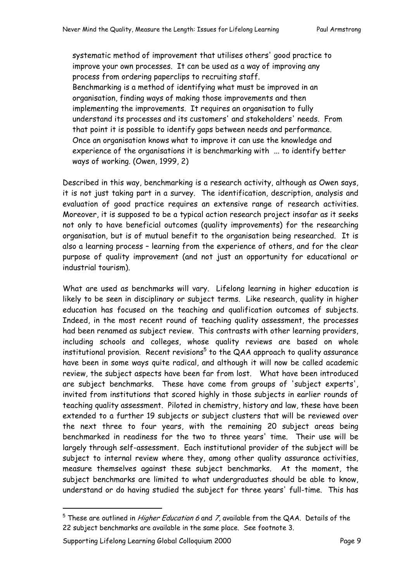systematic method of improvement that utilises others' good practice to improve your own processes. It can be used as a way of improving any process from ordering paperclips to recruiting staff. Benchmarking is a method of identifying what must be improved in an organisation, finding ways of making those improvements and then implementing the improvements. It requires an organisation to fully understand its processes and its customers' and stakeholders' needs. From that point it is possible to identify gaps between needs and performance. Once an organisation knows what to improve it can use the knowledge and experience of the organisations it is benchmarking with ... to identify better ways of working. (Owen, 1999, 2)

Described in this way, benchmarking is a research activity, although as Owen says, it is not just taking part in a survey. The identification, description, analysis and evaluation of good practice requires an extensive range of research activities. Moreover, it is supposed to be a typical action research project insofar as it seeks not only to have beneficial outcomes (quality improvements) for the researching organisation, but is of mutual benefit to the organisation being researched. It is also a learning process – learning from the experience of others, and for the clear purpose of quality improvement (and not just an opportunity for educational or industrial tourism).

What are used as benchmarks will vary. Lifelong learning in higher education is likely to be seen in disciplinary or subject terms. Like research, quality in higher education has focused on the teaching and qualification outcomes of subjects. Indeed, in the most recent round of teaching quality assessment, the processes had been renamed as subject review. This contrasts with other learning providers, including schools and colleges, whose quality reviews are based on whole institutional provision. Recent revisions $^5$  to the QAA approach to quality assurance have been in some ways quite radical, and although it will now be called academic review, the subject aspects have been far from lost. What have been introduced are subject benchmarks. These have come from groups of 'subject experts', invited from institutions that scored highly in those subjects in earlier rounds of teaching quality assessment. Piloted in chemistry, history and law, these have been extended to a further 19 subjects or subject clusters that will be reviewed over the next three to four years, with the remaining 20 subject areas being benchmarked in readiness for the two to three years' time. Their use will be largely through self-assessment. Each institutional provider of the subject will be subject to internal review where they, among other quality assurance activities, measure themselves against these subject benchmarks. At the moment, the subject benchmarks are limited to what undergraduates should be able to know, understand or do having studied the subject for three years' full-time. This has

<sup>–&</sup>lt;br>5  $5$  These are outlined in *Higher Education 6* and *7*, available from the QAA. Details of the 22 subject benchmarks are available in the same place. See footnote 3.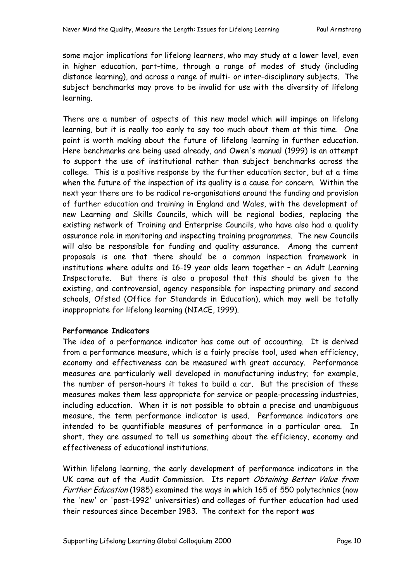some major implications for lifelong learners, who may study at a lower level, even in higher education, part-time, through a range of modes of study (including distance learning), and across a range of multi- or inter-disciplinary subjects. The subject benchmarks may prove to be invalid for use with the diversity of lifelong learning.

There are a number of aspects of this new model which will impinge on lifelong learning, but it is really too early to say too much about them at this time. One point is worth making about the future of lifelong learning in further education. Here benchmarks are being used already, and Owen's manual (1999) is an attempt to support the use of institutional rather than subject benchmarks across the college. This is a positive response by the further education sector, but at a time when the future of the inspection of its quality is a cause for concern. Within the next year there are to be radical re-organisations around the funding and provision of further education and training in England and Wales, with the development of new Learning and Skills Councils, which will be regional bodies, replacing the existing network of Training and Enterprise Councils, who have also had a quality assurance role in monitoring and inspecting training programmes. The new Councils will also be responsible for funding and quality assurance. Among the current proposals is one that there should be a common inspection framework in institutions where adults and 16-19 year olds learn together – an Adult Learning Inspectorate. But there is also a proposal that this should be given to the existing, and controversial, agency responsible for inspecting primary and second schools, Ofsted (Office for Standards in Education), which may well be totally inappropriate for lifelong learning (NIACE, 1999).

#### **Performance Indicators**

The idea of a performance indicator has come out of accounting. It is derived from a performance measure, which is a fairly precise tool, used when efficiency, economy and effectiveness can be measured with great accuracy. Performance measures are particularly well developed in manufacturing industry; for example, the number of person-hours it takes to build a car. But the precision of these measures makes them less appropriate for service or people-processing industries, including education. When it is not possible to obtain a precise and unambiguous measure, the term performance indicator is used. Performance indicators are intended to be quantifiable measures of performance in a particular area. In short, they are assumed to tell us something about the efficiency, economy and effectiveness of educational institutions.

Within lifelong learning, the early development of performance indicators in the UK came out of the Audit Commission. Its report Obtaining Better Value from Further Education (1985) examined the ways in which 165 of 550 polytechnics (now the 'new' or 'post-1992' universities) and colleges of further education had used their resources since December 1983. The context for the report was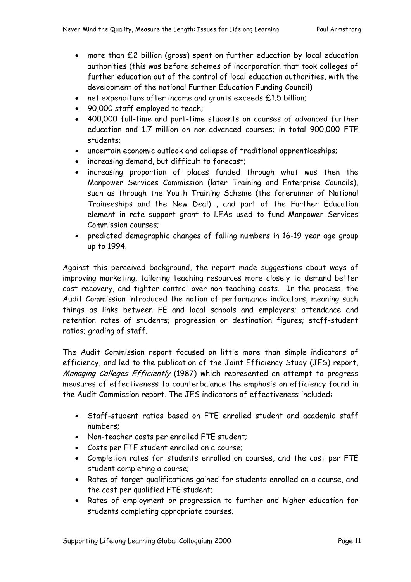- more than £2 billion (gross) spent on further education by local education authorities (this was before schemes of incorporation that took colleges of further education out of the control of local education authorities, with the development of the national Further Education Funding Council)
- net expenditure after income and grants exceeds £1.5 billion;
- 90,000 staff employed to teach;
- 400,000 full-time and part-time students on courses of advanced further education and 1.7 million on non-advanced courses; in total 900,000 FTE students;
- uncertain economic outlook and collapse of traditional apprenticeships;
- increasing demand, but difficult to forecast;
- increasing proportion of places funded through what was then the Manpower Services Commission (later Training and Enterprise Councils), such as through the Youth Training Scheme (the forerunner of National Traineeships and the New Deal) , and part of the Further Education element in rate support grant to LEAs used to fund Manpower Services Commission courses;
- predicted demographic changes of falling numbers in 16-19 year age group up to 1994.

Against this perceived background, the report made suggestions about ways of improving marketing, tailoring teaching resources more closely to demand better cost recovery, and tighter control over non-teaching costs. In the process, the Audit Commission introduced the notion of performance indicators, meaning such things as links between FE and local schools and employers; attendance and retention rates of students; progression or destination figures; staff-student ratios; grading of staff.

The Audit Commission report focused on little more than simple indicators of efficiency, and led to the publication of the Joint Efficiency Study (JES) report, Managing Colleges Efficiently (1987) which represented an attempt to progress measures of effectiveness to counterbalance the emphasis on efficiency found in the Audit Commission report. The JES indicators of effectiveness included:

- Staff-student ratios based on FTE enrolled student and academic staff numbers;
- Non-teacher costs per enrolled FTE student;
- Costs per FTE student enrolled on a course;
- Completion rates for students enrolled on courses, and the cost per FTE student completing a course;
- Rates of target qualifications gained for students enrolled on a course, and the cost per qualified FTE student;
- Rates of employment or progression to further and higher education for students completing appropriate courses.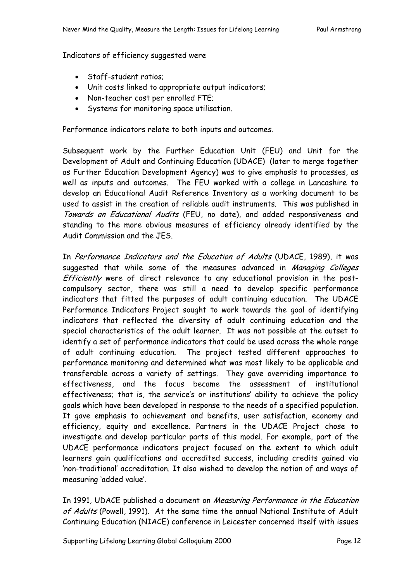Indicators of efficiency suggested were

- Staff-student ratios;
- Unit costs linked to appropriate output indicators;
- Non-teacher cost per enrolled FTE;
- Systems for monitoring space utilisation.

Performance indicators relate to both inputs and outcomes.

Subsequent work by the Further Education Unit (FEU) and Unit for the Development of Adult and Continuing Education (UDACE) (later to merge together as Further Education Development Agency) was to give emphasis to processes, as well as inputs and outcomes. The FEU worked with a college in Lancashire to develop an Educational Audit Reference Inventory as a working document to be used to assist in the creation of reliable audit instruments. This was published in Towards an Educational Audits (FEU, no date), and added responsiveness and standing to the more obvious measures of efficiency already identified by the Audit Commission and the JES.

In Performance Indicators and the Education of Adults (UDACE, 1989), it was suggested that while some of the measures advanced in Managing Colleges Efficiently were of direct relevance to any educational provision in the postcompulsory sector, there was still a need to develop specific performance indicators that fitted the purposes of adult continuing education. The UDACE Performance Indicators Project sought to work towards the goal of identifying indicators that reflected the diversity of adult continuing education and the special characteristics of the adult learner. It was not possible at the outset to identify a set of performance indicators that could be used across the whole range of adult continuing education. The project tested different approaches to performance monitoring and determined what was most likely to be applicable and transferable across a variety of settings. They gave overriding importance to effectiveness, and the focus became the assessment of institutional effectiveness; that is, the service's or institutions' ability to achieve the policy goals which have been developed in response to the needs of a specified population. It gave emphasis to achievement and benefits, user satisfaction, economy and efficiency, equity and excellence. Partners in the UDACE Project chose to investigate and develop particular parts of this model. For example, part of the UDACE performance indicators project focused on the extent to which adult learners gain qualifications and accredited success, including credits gained via 'non-traditional' accreditation. It also wished to develop the notion of and ways of measuring 'added value'.

In 1991, UDACE published a document on Measuring Performance in the Education of Adults (Powell, 1991). At the same time the annual National Institute of Adult Continuing Education (NIACE) conference in Leicester concerned itself with issues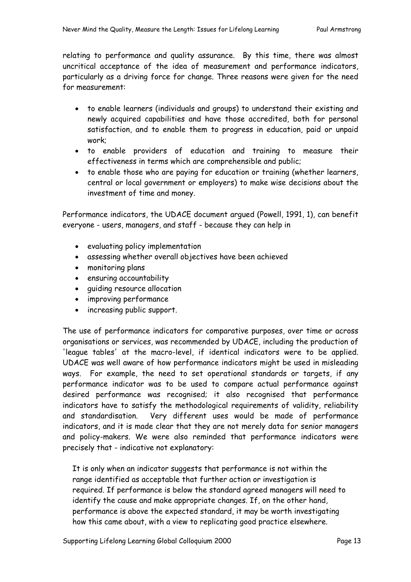relating to performance and quality assurance. By this time, there was almost uncritical acceptance of the idea of measurement and performance indicators, particularly as a driving force for change. Three reasons were given for the need for measurement:

- to enable learners (individuals and groups) to understand their existing and newly acquired capabilities and have those accredited, both for personal satisfaction, and to enable them to progress in education, paid or unpaid work;
- to enable providers of education and training to measure their effectiveness in terms which are comprehensible and public;
- to enable those who are paying for education or training (whether learners, central or local government or employers) to make wise decisions about the investment of time and money.

Performance indicators, the UDACE document argued (Powell, 1991, 1), can benefit everyone - users, managers, and staff - because they can help in

- evaluating policy implementation
- assessing whether overall objectives have been achieved
- monitoring plans
- ensuring accountability
- guiding resource allocation
- improving performance
- increasing public support.

The use of performance indicators for comparative purposes, over time or across organisations or services, was recommended by UDACE, including the production of 'league tables' at the macro-level, if identical indicators were to be applied. UDACE was well aware of how performance indicators might be used in misleading ways. For example, the need to set operational standards or targets, if any performance indicator was to be used to compare actual performance against desired performance was recognised; it also recognised that performance indicators have to satisfy the methodological requirements of validity, reliability and standardisation. Very different uses would be made of performance indicators, and it is made clear that they are not merely data for senior managers and policy-makers. We were also reminded that performance indicators were precisely that - indicative not explanatory:

It is only when an indicator suggests that performance is not within the range identified as acceptable that further action or investigation is required. If performance is below the standard agreed managers will need to identify the cause and make appropriate changes. If, on the other hand, performance is above the expected standard, it may be worth investigating how this came about, with a view to replicating good practice elsewhere.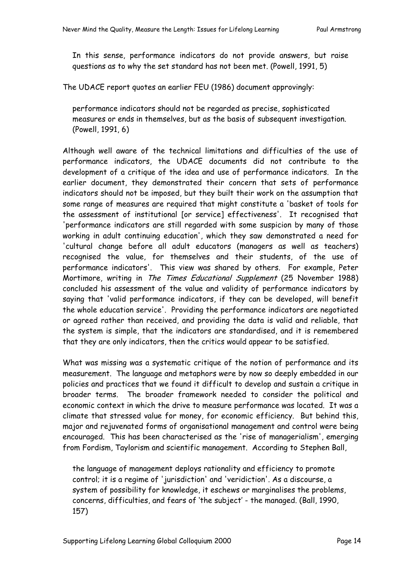In this sense, performance indicators do not provide answers, but raise questions as to why the set standard has not been met. (Powell, 1991, 5)

The UDACE report quotes an earlier FEU (1986) document approvingly:

performance indicators should not be regarded as precise, sophisticated measures or ends in themselves, but as the basis of subsequent investigation. (Powell, 1991, 6)

Although well aware of the technical limitations and difficulties of the use of performance indicators, the UDACE documents did not contribute to the development of a critique of the idea and use of performance indicators. In the earlier document, they demonstrated their concern that sets of performance indicators should not be imposed, but they built their work on the assumption that some range of measures are required that might constitute a 'basket of tools for the assessment of institutional [or service] effectiveness'. It recognised that 'performance indicators are still regarded with some suspicion by many of those working in adult continuing education', which they saw demonstrated a need for 'cultural change before all adult educators (managers as well as teachers) recognised the value, for themselves and their students, of the use of performance indicators'. This view was shared by others. For example, Peter Mortimore, writing in The Times Educational Supplement (25 November 1988) concluded his assessment of the value and validity of performance indicators by saying that 'valid performance indicators, if they can be developed, will benefit the whole education service'. Providing the performance indicators are negotiated or agreed rather than received, and providing the data is valid and reliable, that the system is simple, that the indicators are standardised, and it is remembered that they are only indicators, then the critics would appear to be satisfied.

What was missing was a systematic critique of the notion of performance and its measurement. The language and metaphors were by now so deeply embedded in our policies and practices that we found it difficult to develop and sustain a critique in broader terms. The broader framework needed to consider the political and economic context in which the drive to measure performance was located. It was a climate that stressed value for money, for economic efficiency. But behind this, major and rejuvenated forms of organisational management and control were being encouraged. This has been characterised as the 'rise of managerialism', emerging from Fordism, Taylorism and scientific management. According to Stephen Ball,

the language of management deploys rationality and efficiency to promote control; it is a regime of 'jurisdiction' and 'veridiction'. As a discourse, a system of possibility for knowledge, it eschews or marginalises the problems, concerns, difficulties, and fears of 'the subject' - the managed. (Ball, 1990, 157)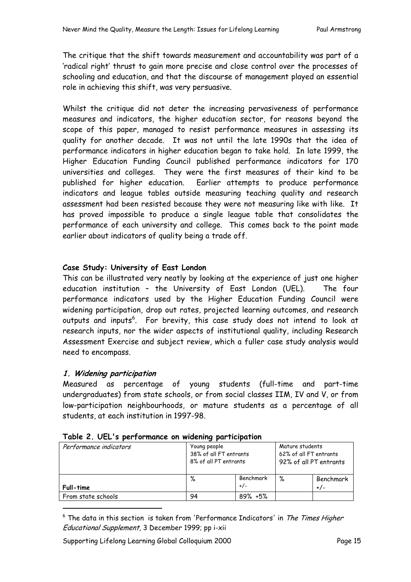The critique that the shift towards measurement and accountability was part of a 'radical right' thrust to gain more precise and close control over the processes of schooling and education, and that the discourse of management played an essential role in achieving this shift, was very persuasive.

Whilst the critique did not deter the increasing pervasiveness of performance measures and indicators, the higher education sector, for reasons beyond the scope of this paper, managed to resist performance measures in assessing its quality for another decade. It was not until the late 1990s that the idea of performance indicators in higher education began to take hold. In late 1999, the Higher Education Funding Council published performance indicators for 170 universities and colleges. They were the first measures of their kind to be published for higher education. Earlier attempts to produce performance indicators and league tables outside measuring teaching quality and research assessment had been resisted because they were not measuring like with like. It has proved impossible to produce a single league table that consolidates the performance of each university and college. This comes back to the point made earlier about indicators of quality being a trade off.

## **Case Study: University of East London**

This can be illustrated very neatly by looking at the experience of just one higher education institution – the University of East London (UEL). The four performance indicators used by the Higher Education Funding Council were widening participation, drop out rates, projected learning outcomes, and research outputs and inputs<sup>6</sup>. For brevity, this case study does not intend to look at research inputs, nor the wider aspects of institutional quality, including Research Assessment Exercise and subject review, which a fuller case study analysis would need to encompass.

## **1. Widening participation**

Measured as percentage of young students (full-time and part-time undergraduates) from state schools, or from social classes IIM, IV and V, or from low-participation neighbourhoods, or mature students as a percentage of all students, at each institution in 1997-98.

| Performance indicators | Young people<br>38% of all FT entrants<br>8% of all PT entrants |                    | Mature students<br>62% of all FT entrants<br>92% of all PT entrants |                    |
|------------------------|-----------------------------------------------------------------|--------------------|---------------------------------------------------------------------|--------------------|
| Full-time              | %                                                               | Benchmark<br>$+/-$ | %                                                                   | Benchmark<br>$+/-$ |
| From state schools     | 94                                                              | $89\% + 5\%$       |                                                                     |                    |

## **Table 2. UEL's performance on widening participation**

Supporting Lifelong Learning Global Colloquium 2000 Page 15

<sup>–&</sup>lt;br>6  $6$  The data in this section is taken from 'Performance Indicators' in The Times Higher Educational Supplement, 3 December 1999; pp i-xii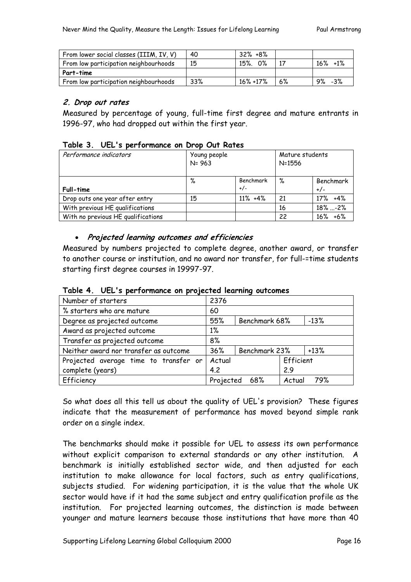| From lower social classes (IIIM, IV, V) | 40  | $32\% + 8\%$  |    |                  |
|-----------------------------------------|-----|---------------|----|------------------|
| From low participation neighbourhoods   | 15  | 0%<br>15%.    |    | $16\%$<br>$+1\%$ |
| Part-time                               |     |               |    |                  |
| From low participation neighbourhoods   | 33% | $16\% + 17\%$ | 6% | 9%<br>-3%        |

#### **2. Drop out rates**

Measured by percentage of young, full-time first degree and mature entrants in 1996-97, who had dropped out within the first year.

#### **Table 3. UEL's performance on Drop Out Rates**

| Performance indicators             | Young people<br>$N = 963$ |                    | Mature students<br>$N = 1556$ |                    |
|------------------------------------|---------------------------|--------------------|-------------------------------|--------------------|
| Full-time                          | %                         | Benchmark<br>$+/-$ | %                             | Benchmark<br>$+/-$ |
| Drop outs one year after entry     | 15                        | $11\% + 4\%$       | 21                            | $17\% + 4\%$       |
| With previous HE qualifications    |                           |                    | 16                            | $18\%$ -2%         |
| With no previous HE qualifications |                           |                    | 22                            | $16\% + 6\%$       |

#### • **Projected learning outcomes and efficiencies**

Measured by numbers projected to complete degree, another award, or transfer to another course or institution, and no award nor transfer, for full-=time students starting first degree courses in 19997-97.

| Number of starters                              | 2376      |                         |           |        |
|-------------------------------------------------|-----------|-------------------------|-----------|--------|
| % starters who are mature                       | 60        |                         |           |        |
| Degree as projected outcome                     | 55%       | Benchmark 68%           |           | $-13%$ |
| Award as projected outcome                      | $1\%$     |                         |           |        |
| Transfer as projected outcome                   | 8%        |                         |           |        |
| Neither award nor transfer as outcome           | 36%       | Benchmark 23%<br>$+13%$ |           |        |
| Actual<br>Projected average time to transfer or |           |                         | Efficient |        |
| complete (years)                                | 4.2       |                         | 2.9       |        |
| Efficiency                                      | Projected | 68%                     | Actual    | 79%    |

**Table 4. UEL's performance on projected learning outcomes** 

So what does all this tell us about the quality of UEL's provision? These figures indicate that the measurement of performance has moved beyond simple rank order on a single index.

The benchmarks should make it possible for UEL to assess its own performance without explicit comparison to external standards or any other institution. A benchmark is initially established sector wide, and then adjusted for each institution to make allowance for local factors, such as entry qualifications, subjects studied. For widening participation, it is the value that the whole UK sector would have if it had the same subject and entry qualification profile as the institution. For projected learning outcomes, the distinction is made between younger and mature learners because those institutions that have more than 40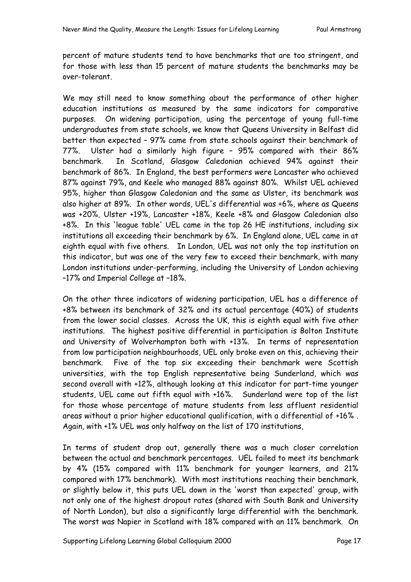percent of mature students tend to have benchmarks that are too stringent, and for those with less than 15 percent of mature students the benchmarks may be over-tolerant.

We may still need to know something about the performance of other higher education institutions as measured by the same indicators for comparative purposes. On widening participation, using the percentage of young full-time undergraduates from state schools, we know that Queens University in Belfast did better than expected – 97% came from state schools against their benchmark of 77%. Ulster had a similarly high figure – 95% compared with their 86% benchmark. In Scotland, Glasgow Caledonian achieved 94% against their benchmark of 86%. In England, the best performers were Lancaster who achieved 87% against 79%, and Keele who managed 88% against 80%. Whilst UEL achieved 95%, higher than Glasgow Caledonian and the same as Ulster, its benchmark was also higher at 89%. In other words, UEL's differential was +6%, where as Queens was +20%, Ulster +19%, Lancaster +18%, Keele +8% and Glasgow Caledonian also +8%. In this 'league table' UEL came in the top 26 HE institutions, including six institutions all exceeding their benchmark by 6%. In England alone, UEL came in at eighth equal with five others. In London, UEL was not only the top institution on this indicator, but was one of the very few to exceed their benchmark, with many London institutions under-performing, including the University of London achieving –17% and Imperial College at –18%.

On the other three indicators of widening participation, UEL has a difference of +8% between its benchmark of 32% and its actual percentage (40%) of students from the lower social classes. Across the UK, this is eighth equal with five other institutions. The highest positive differential in participation is Bolton Institute and University of Wolverhampton both with +13%. In terms of representation from low participation neighbourhoods, UEL only broke even on this, achieving their benchmark. Five of the top six exceeding their benchmark were Scottish universities, with the top English representative being Sunderland, which was second overall with +12%, although looking at this indicator for part-time younger students, UEL came out fifth equal with +16%. Sunderland were top of the list for those whose percentage of mature students from less affluent residential areas without a prior higher educational qualification, with a differential of +16% . Again, with +1% UEL was only halfway on the list of 170 institutions,

In terms of student drop out, generally there was a much closer correlation between the actual and benchmark percentages. UEL failed to meet its benchmark by 4% (15% compared with 11% benchmark for younger learners, and 21% compared with 17% benchmark). With most institutions reaching their benchmark, or slightly below it, this puts UEL down in the 'worst than expected' group, with not only one of the highest dropout rates (shared with South Bank and University of North London), but also a significantly large differential with the benchmark. The worst was Napier in Scotland with 18% compared with an 11% benchmark. On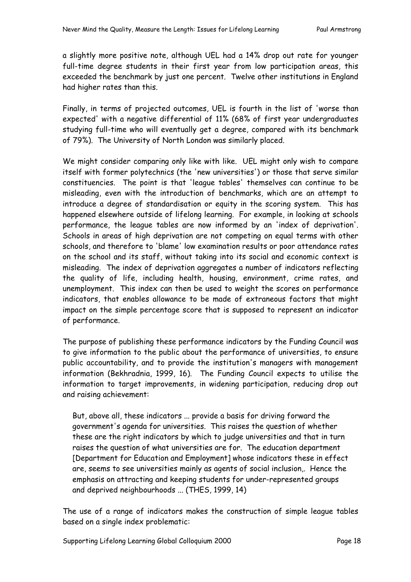a slightly more positive note, although UEL had a 14% drop out rate for younger full-time degree students in their first year from low participation areas, this exceeded the benchmark by just one percent. Twelve other institutions in England had higher rates than this.

Finally, in terms of projected outcomes, UEL is fourth in the list of 'worse than expected' with a negative differential of 11% (68% of first year undergraduates studying full-time who will eventually get a degree, compared with its benchmark of 79%). The University of North London was similarly placed.

We might consider comparing only like with like. UEL might only wish to compare itself with former polytechnics (the 'new universities') or those that serve similar constituencies. The point is that 'league tables' themselves can continue to be misleading, even with the introduction of benchmarks, which are an attempt to introduce a degree of standardisation or equity in the scoring system. This has happened elsewhere outside of lifelong learning. For example, in looking at schools performance, the league tables are now informed by an 'index of deprivation'. Schools in areas of high deprivation are not competing on equal terms with other schools, and therefore to 'blame' low examination results or poor attendance rates on the school and its staff, without taking into its social and economic context is misleading. The index of deprivation aggregates a number of indicators reflecting the quality of life, including health, housing, environment, crime rates, and unemployment. This index can then be used to weight the scores on performance indicators, that enables allowance to be made of extraneous factors that might impact on the simple percentage score that is supposed to represent an indicator of performance.

The purpose of publishing these performance indicators by the Funding Council was to give information to the public about the performance of universities, to ensure public accountability, and to provide the institution's managers with management information (Bekhradnia, 1999, 16). The Funding Council expects to utilise the information to target improvements, in widening participation, reducing drop out and raising achievement:

But, above all, these indicators ... provide a basis for driving forward the government's agenda for universities. This raises the question of whether these are the right indicators by which to judge universities and that in turn raises the question of what universities are for. The education department [Department for Education and Employment] whose indicators these in effect are, seems to see universities mainly as agents of social inclusion,. Hence the emphasis on attracting and keeping students for under-represented groups and deprived neighbourhoods ... (THES, 1999, 14)

The use of a range of indicators makes the construction of simple league tables based on a single index problematic:

Supporting Lifelong Learning Global Colloquium 2000 Page 18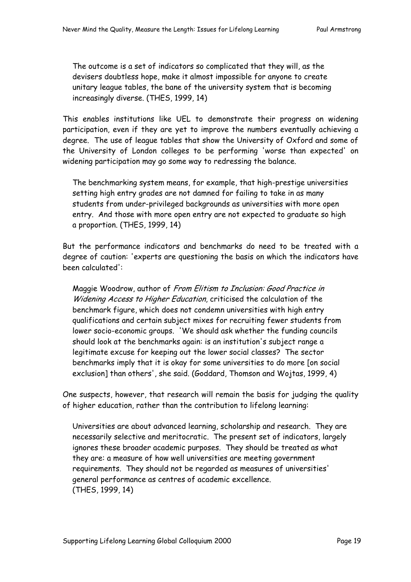The outcome is a set of indicators so complicated that they will, as the devisers doubtless hope, make it almost impossible for anyone to create unitary league tables, the bane of the university system that is becoming increasingly diverse. (THES, 1999, 14)

This enables institutions like UEL to demonstrate their progress on widening participation, even if they are yet to improve the numbers eventually achieving a degree. The use of league tables that show the University of Oxford and some of the University of London colleges to be performing 'worse than expected' on widening participation may go some way to redressing the balance.

The benchmarking system means, for example, that high-prestige universities setting high entry grades are not damned for failing to take in as many students from under-privileged backgrounds as universities with more open entry. And those with more open entry are not expected to graduate so high a proportion. (THES, 1999, 14)

But the performance indicators and benchmarks do need to be treated with a degree of caution: 'experts are questioning the basis on which the indicators have been calculated':

Maggie Woodrow, author of From Elitism to Inclusion: Good Practice in Widening Access to Higher Education, criticised the calculation of the benchmark figure, which does not condemn universities with high entry qualifications and certain subject mixes for recruiting fewer students from lower socio-economic groups. 'We should ask whether the funding councils should look at the benchmarks again: is an institution's subject range a legitimate excuse for keeping out the lower social classes? The sector benchmarks imply that it is okay for some universities to do more [on social exclusion] than others', she said. (Goddard, Thomson and Wojtas, 1999, 4)

One suspects, however, that research will remain the basis for judging the quality of higher education, rather than the contribution to lifelong learning:

Universities are about advanced learning, scholarship and research. They are necessarily selective and meritocratic. The present set of indicators, largely ignores these broader academic purposes. They should be treated as what they are: a measure of how well universities are meeting government requirements. They should not be regarded as measures of universities' general performance as centres of academic excellence. (THES, 1999, 14)